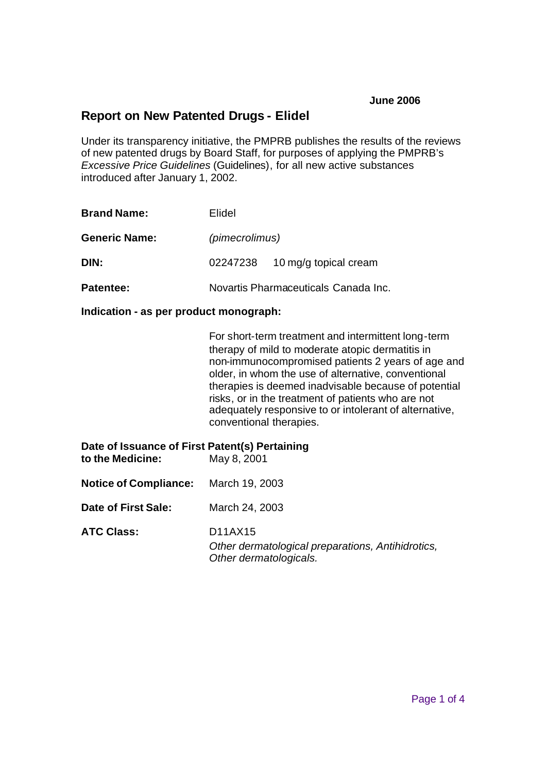## **Report on New Patented Drugs - Elidel**

Under its transparency initiative, the PMPRB publishes the results of the reviews of new patented drugs by Board Staff, for purposes of applying the PMPRB's *Excessive Price Guidelines* (Guidelines), for all new active substances introduced after January 1, 2002.

| <b>Brand Name:</b>   | Elidel                               |                       |  |  |
|----------------------|--------------------------------------|-----------------------|--|--|
| <b>Generic Name:</b> |                                      | (pimecrolimus)        |  |  |
| DIN:                 | 02247238                             | 10 mg/g topical cream |  |  |
| <b>Patentee:</b>     | Novartis Pharmaceuticals Canada Inc. |                       |  |  |

**Indication - as per product monograph:**

For short-term treatment and intermittent long-term therapy of mild to moderate atopic dermatitis in non-immunocompromised patients 2 years of age and older, in whom the use of alternative, conventional therapies is deemed inadvisable because of potential risks, or in the treatment of patients who are not adequately responsive to or intolerant of alternative, conventional therapies.

| Date of Issuance of First Patent(s) Pertaining<br>to the Medicine: | May 8, 2001                                                                            |
|--------------------------------------------------------------------|----------------------------------------------------------------------------------------|
| <b>Notice of Compliance:</b> March 19, 2003                        |                                                                                        |
| Date of First Sale:                                                | March 24, 2003                                                                         |
| <b>ATC Class:</b>                                                  | D11AX15<br>Other dermatological preparations, Antihidrotics,<br>Other dermatologicals. |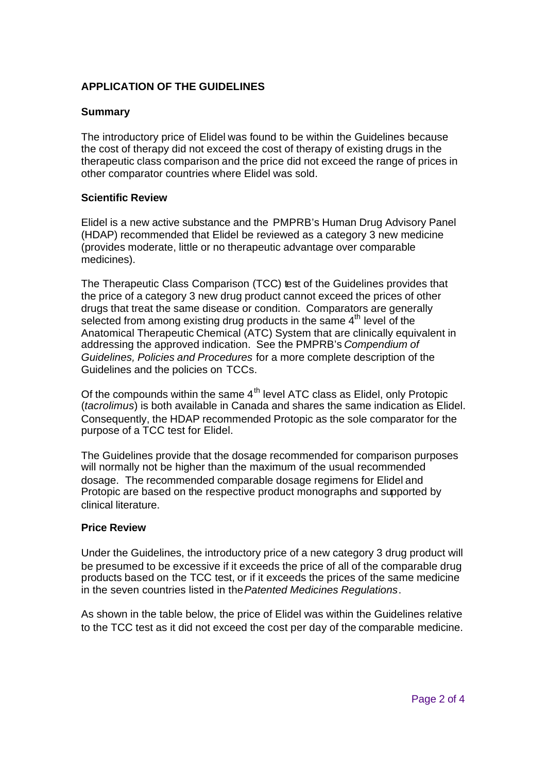### **APPLICATION OF THE GUIDELINES**

#### **Summary**

The introductory price of Elidel was found to be within the Guidelines because the cost of therapy did not exceed the cost of therapy of existing drugs in the therapeutic class comparison and the price did not exceed the range of prices in other comparator countries where Elidel was sold.

#### **Scientific Review**

Elidel is a new active substance and the PMPRB's Human Drug Advisory Panel (HDAP) recommended that Elidel be reviewed as a category 3 new medicine (provides moderate, little or no therapeutic advantage over comparable medicines).

The Therapeutic Class Comparison (TCC) test of the Guidelines provides that the price of a category 3 new drug product cannot exceed the prices of other drugs that treat the same disease or condition. Comparators are generally selected from among existing drug products in the same  $4<sup>th</sup>$  level of the Anatomical Therapeutic Chemical (ATC) System that are clinically equivalent in addressing the approved indication. See the PMPRB's *Compendium of Guidelines, Policies and Procedures* for a more complete description of the Guidelines and the policies on TCCs.

Of the compounds within the same 4<sup>th</sup> level ATC class as Elidel, only Protopic (*tacrolimus*) is both available in Canada and shares the same indication as Elidel. Consequently, the HDAP recommended Protopic as the sole comparator for the purpose of a TCC test for Elidel.

The Guidelines provide that the dosage recommended for comparison purposes will normally not be higher than the maximum of the usual recommended dosage. The recommended comparable dosage regimens for Elidel and Protopic are based on the respective product monographs and supported by clinical literature.

#### **Price Review**

Under the Guidelines, the introductory price of a new category 3 drug product will be presumed to be excessive if it exceeds the price of all of the comparable drug products based on the TCC test, or if it exceeds the prices of the same medicine in the seven countries listed in the *Patented Medicines Regulations*.

As shown in the table below, the price of Elidel was within the Guidelines relative to the TCC test as it did not exceed the cost per day of the comparable medicine.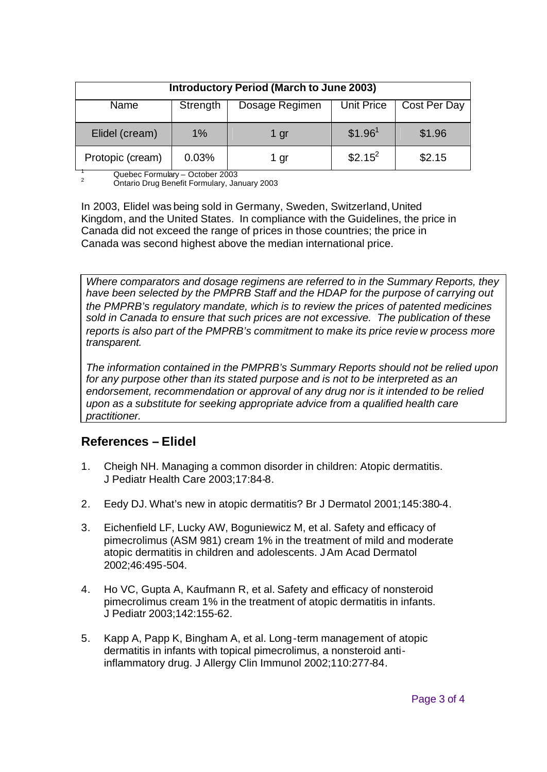| <b>Introductory Period (March to June 2003)</b> |          |                |                     |              |  |  |
|-------------------------------------------------|----------|----------------|---------------------|--------------|--|--|
| Name                                            | Strength | Dosage Regimen | Unit Price          | Cost Per Day |  |  |
| Elidel (cream)                                  | 1%       | 1 gr           | \$1.96 <sup>1</sup> | \$1.96       |  |  |
| Protopic (cream)                                | 0.03%    | 1 gr           | $$2.15^2$           | \$2.15       |  |  |

 $\frac{1}{2}$  Quebec Formulary – October 2003 <sup>2</sup> Ontario Drug Benefit Formulary, January 2003

In 2003, Elidel was being sold in Germany, Sweden, Switzerland,United Kingdom, and the United States. In compliance with the Guidelines, the price in Canada did not exceed the range of prices in those countries; the price in Canada was second highest above the median international price.

*Where comparators and dosage regimens are referred to in the Summary Reports, they have been selected by the PMPRB Staff and the HDAP for the purpose of carrying out the PMPRB's regulatory mandate, which is to review the prices of patented medicines sold in Canada to ensure that such prices are not excessive. The publication of these reports is also part of the PMPRB's commitment to make its price review process more transparent.*

*The information contained in the PMPRB's Summary Reports should not be relied upon for any purpose other than its stated purpose and is not to be interpreted as an endorsement, recommendation or approval of any drug nor is it intended to be relied upon as a substitute for seeking appropriate advice from a qualified health care practitioner.*

# **References – Elidel**

- 1. Cheigh NH. Managing a common disorder in children: Atopic dermatitis. J Pediatr Health Care 2003;17:84-8.
- 2. Eedy DJ. What's new in atopic dermatitis? Br J Dermatol 2001;145:380-4.
- 3. Eichenfield LF, Lucky AW, Boguniewicz M, et al. Safety and efficacy of pimecrolimus (ASM 981) cream 1% in the treatment of mild and moderate atopic dermatitis in children and adolescents. J Am Acad Dermatol 2002;46:495-504.
- 4. Ho VC, Gupta A, Kaufmann R, et al. Safety and efficacy of nonsteroid pimecrolimus cream 1% in the treatment of atopic dermatitis in infants. J Pediatr 2003;142:155-62.
- 5. Kapp A, Papp K, Bingham A, et al. Long-term management of atopic dermatitis in infants with topical pimecrolimus, a nonsteroid antiinflammatory drug. J Allergy Clin Immunol 2002;110:277-84.